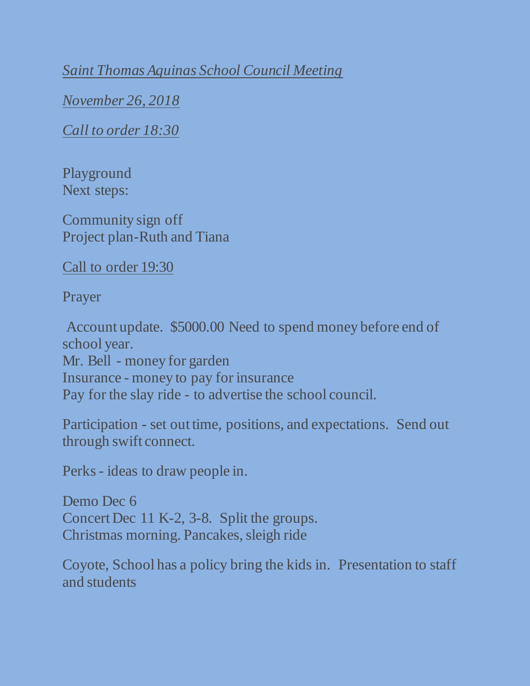*Saint Thomas Aquinas School Council Meeting*

*November 26, 2018*

*Call to order 18:30*

Playground Next steps:

Community sign off Project plan-Ruth and Tiana

Call to order 19:30

Prayer

Account update. \$5000.00 Need to spend money before end of school year. Mr. Bell - money for garden Insurance - money to pay for insurance Pay for the slay ride - to advertise the school council.

Participation - set out time, positions, and expectations. Send out through swift connect.

Perks - ideas to draw people in.

Demo Dec 6 Concert Dec 11 K-2, 3-8. Split the groups. Christmas morning. Pancakes, sleigh ride

Coyote, School has a policy bring the kids in. Presentation to staff and students